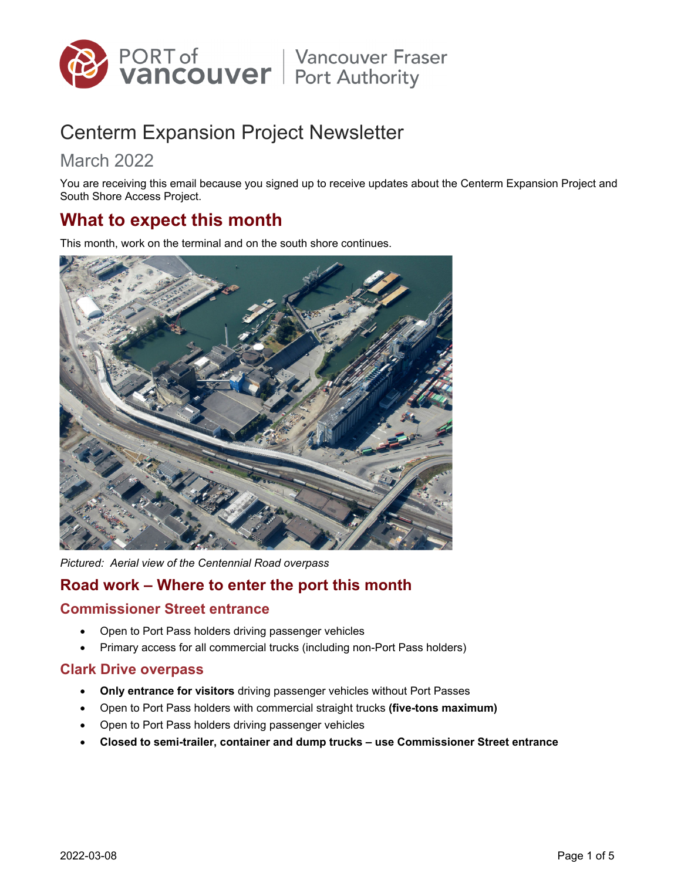

# Centerm Expansion Project Newsletter

## March 2022

You are receiving this email because you signed up to receive updates about the Centerm Expansion Project and South Shore Access Project.

## **What to expect this month**

This month, work on the terminal and on the south shore continues.



*Pictured: Aerial view of the Centennial Road overpass* 

### **Road work – Where to enter the port this month**

#### **Commissioner Street entrance**

- Open to Port Pass holders driving passenger vehicles
- Primary access for all commercial trucks (including non-Port Pass holders)

#### **Clark Drive overpass**

- **Only entrance for visitors** driving passenger vehicles without Port Passes
- Open to Port Pass holders with commercial straight trucks **(five-tons maximum)**
- Open to Port Pass holders driving passenger vehicles
- **Closed to semi-trailer, container and dump trucks use Commissioner Street entrance**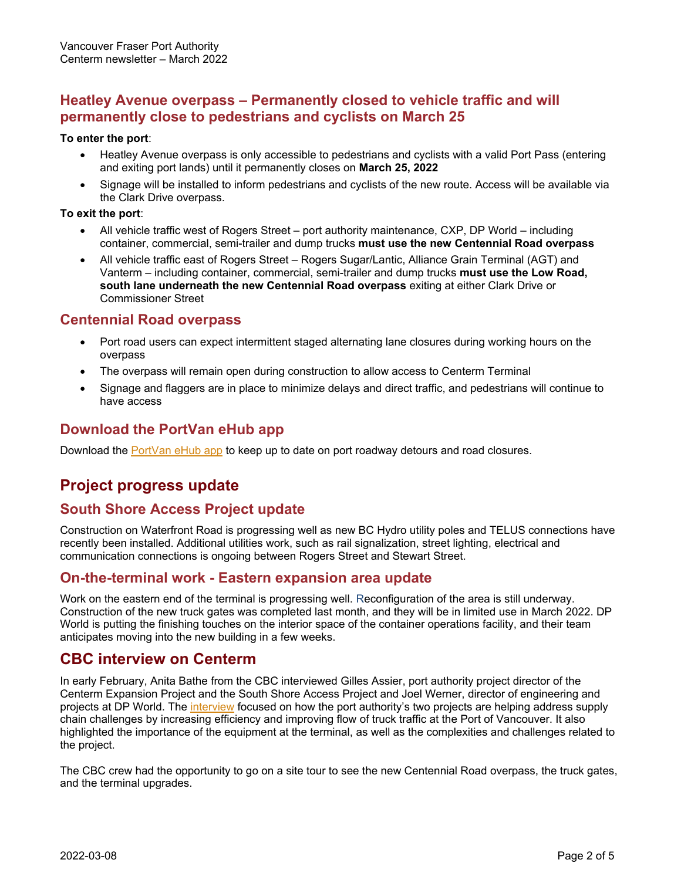#### **Heatley Avenue overpass – Permanently closed to vehicle traffic and will permanently close to pedestrians and cyclists on March 25**

#### **To enter the port**:

- Heatley Avenue overpass is only accessible to pedestrians and cyclists with a valid Port Pass (entering and exiting port lands) until it permanently closes on **March 25, 2022**
- Signage will be installed to inform pedestrians and cyclists of the new route. Access will be available via the Clark Drive overpass.

#### **To exit the port**:

- All vehicle traffic west of Rogers Street port authority maintenance, CXP, DP World including container, commercial, semi-trailer and dump trucks **must use the new Centennial Road overpass**
- All vehicle traffic east of Rogers Street Rogers Sugar/Lantic, Alliance Grain Terminal (AGT) and Vanterm – including container, commercial, semi-trailer and dump trucks **must use the Low Road, south lane underneath the new Centennial Road overpass** exiting at either Clark Drive or Commissioner Street

#### **Centennial Road overpass**

- Port road users can expect intermittent staged alternating lane closures during working hours on the overpass
- The overpass will remain open during construction to allow access to Centerm Terminal
- Signage and flaggers are in place to minimize delays and direct traffic, and pedestrians will continue to have access

#### **Download the PortVan eHub app**

Download the PortVan eHub app to keep up to date on port roadway detours and road closures.

### **Project progress update**

#### **South Shore Access Project update**

Construction on Waterfront Road is progressing well as new BC Hydro utility poles and TELUS connections have recently been installed. Additional utilities work, such as rail signalization, street lighting, electrical and communication connections is ongoing between Rogers Street and Stewart Street.

#### **On-the-terminal work - Eastern expansion area update**

Work on the eastern end of the terminal is progressing well. Reconfiguration of the area is still underway. Construction of the new truck gates was completed last month, and they will be in limited use in March 2022. DP World is putting the finishing touches on the interior space of the container operations facility, and their team anticipates moving into the new building in a few weeks.

### **CBC interview on Centerm**

In early February, Anita Bathe from the CBC interviewed Gilles Assier, port authority project director of the Centerm Expansion Project and the South Shore Access Project and Joel Werner, director of engineering and projects at DP World. The interview focused on how the port authority's two projects are helping address supply chain challenges by increasing efficiency and improving flow of truck traffic at the Port of Vancouver. It also highlighted the importance of the equipment at the terminal, as well as the complexities and challenges related to the project.

The CBC crew had the opportunity to go on a site tour to see the new Centennial Road overpass, the truck gates, and the terminal upgrades.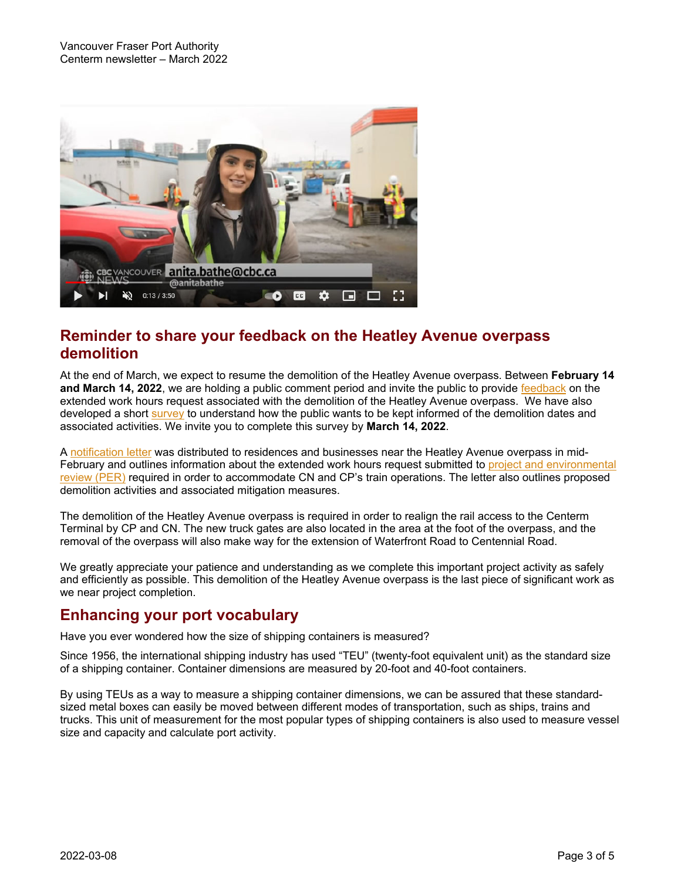

### **Reminder to share your feedback on the Heatley Avenue overpass demolition**

At the end of March, we expect to resume the demolition of the Heatley Avenue overpass. Between **February 14 and March 14, 2022**, we are holding a public comment period and invite the public to provide feedback on the extended work hours request associated with the demolition of the Heatley Avenue overpass. We have also developed a short survey to understand how the public wants to be kept informed of the demolition dates and associated activities. We invite you to complete this survey by **March 14, 2022**.

A notification letter was distributed to residences and businesses near the Heatley Avenue overpass in mid-February and outlines information about the extended work hours request submitted to project and environmental review (PER) required in order to accommodate CN and CP's train operations. The letter also outlines proposed demolition activities and associated mitigation measures.

The demolition of the Heatley Avenue overpass is required in order to realign the rail access to the Centerm Terminal by CP and CN. The new truck gates are also located in the area at the foot of the overpass, and the removal of the overpass will also make way for the extension of Waterfront Road to Centennial Road.

We greatly appreciate your patience and understanding as we complete this important project activity as safely and efficiently as possible. This demolition of the Heatley Avenue overpass is the last piece of significant work as we near project completion.

### **Enhancing your port vocabulary**

Have you ever wondered how the size of shipping containers is measured?

Since 1956, the international shipping industry has used "TEU" (twenty-foot equivalent unit) as the standard size of a shipping container. Container dimensions are measured by 20-foot and 40-foot containers.

By using TEUs as a way to measure a shipping container dimensions, we can be assured that these standardsized metal boxes can easily be moved between different modes of transportation, such as ships, trains and trucks. This unit of measurement for the most popular types of shipping containers is also used to measure vessel size and capacity and calculate port activity.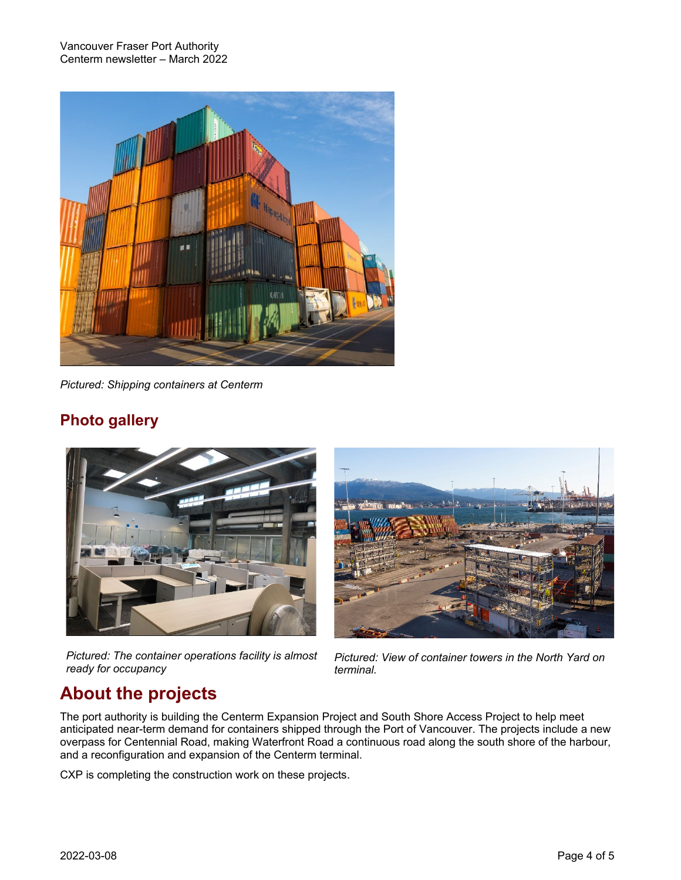Vancouver Fraser Port Authority Centerm newsletter – March 2022



*Pictured: Shipping containers at Centerm* 

## **Photo gallery**



*Pictured: The container operations facility is almost ready for occupancy* 



*Pictured: View of container towers in the North Yard on terminal.* 

## **About the projects**

The port authority is building the Centerm Expansion Project and South Shore Access Project to help meet anticipated near-term demand for containers shipped through the Port of Vancouver. The projects include a new overpass for Centennial Road, making Waterfront Road a continuous road along the south shore of the harbour, and a reconfiguration and expansion of the Centerm terminal.

CXP is completing the construction work on these projects.